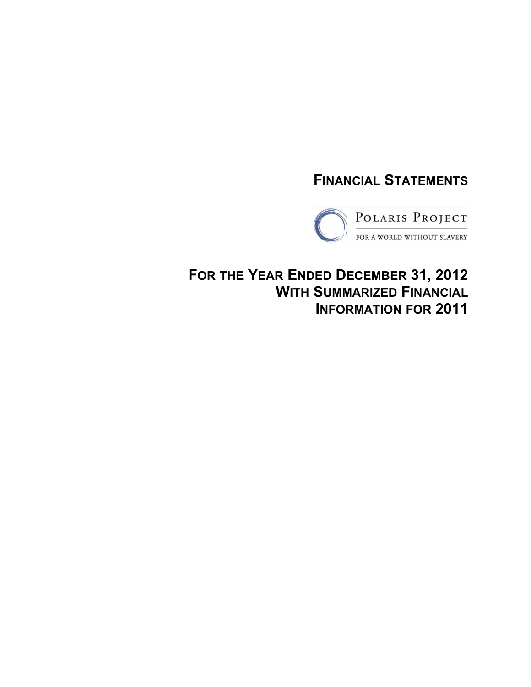# **FINANCIAL STATEMENTS**



**FOR THE YEAR ENDED DECEMBER 31, 2012 WITH SUMMARIZED FINANCIAL INFORMATION FOR 2011**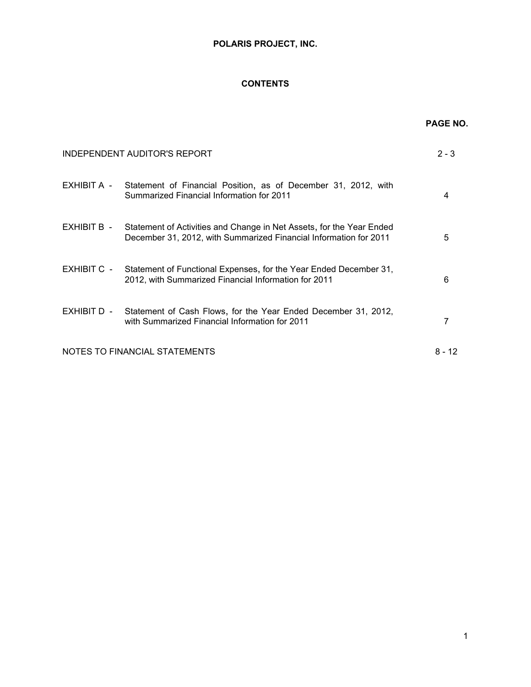# **CONTENTS**

|             |                                                                                                                                           | <b>PAGE NO.</b> |
|-------------|-------------------------------------------------------------------------------------------------------------------------------------------|-----------------|
|             | INDEPENDENT AUDITOR'S REPORT                                                                                                              | $2 - 3$         |
| EXHIBIT A - | Statement of Financial Position, as of December 31, 2012, with<br>Summarized Financial Information for 2011                               | 4               |
| EXHIBIT B - | Statement of Activities and Change in Net Assets, for the Year Ended<br>December 31, 2012, with Summarized Financial Information for 2011 | 5               |
| EXHIBIT C - | Statement of Functional Expenses, for the Year Ended December 31,<br>2012, with Summarized Financial Information for 2011                 | 6               |
| EXHIBIT D - | Statement of Cash Flows, for the Year Ended December 31, 2012,<br>with Summarized Financial Information for 2011                          | 7               |
|             | NOTES TO FINANCIAL STATEMENTS                                                                                                             | $8 - 12$        |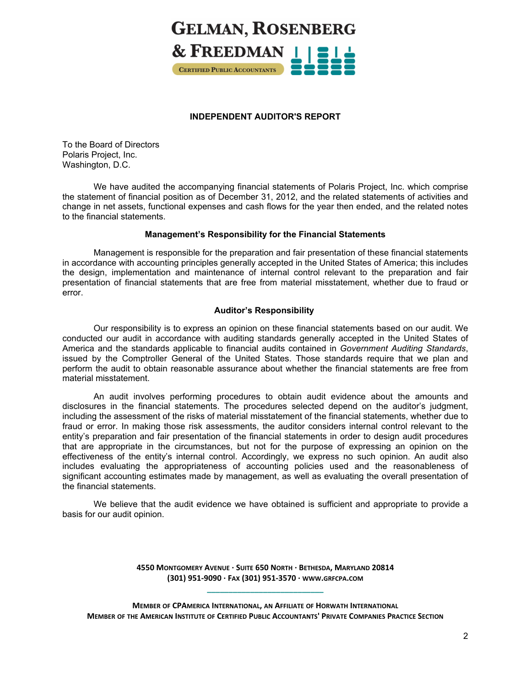

# **INDEPENDENT AUDITOR'S REPORT**

To the Board of Directors Polaris Project, Inc. Washington, D.C.

We have audited the accompanying financial statements of Polaris Project, Inc. which comprise the statement of financial position as of December 31, 2012, and the related statements of activities and change in net assets, functional expenses and cash flows for the year then ended, and the related notes to the financial statements.

### **Management's Responsibility for the Financial Statements**

Management is responsible for the preparation and fair presentation of these financial statements in accordance with accounting principles generally accepted in the United States of America; this includes the design, implementation and maintenance of internal control relevant to the preparation and fair presentation of financial statements that are free from material misstatement, whether due to fraud or error.

# **Auditor's Responsibility**

Our responsibility is to express an opinion on these financial statements based on our audit. We conducted our audit in accordance with auditing standards generally accepted in the United States of America and the standards applicable to financial audits contained in *Government Auditing Standards*, issued by the Comptroller General of the United States. Those standards require that we plan and perform the audit to obtain reasonable assurance about whether the financial statements are free from material misstatement.

An audit involves performing procedures to obtain audit evidence about the amounts and disclosures in the financial statements. The procedures selected depend on the auditor's judgment, including the assessment of the risks of material misstatement of the financial statements, whether due to fraud or error. In making those risk assessments, the auditor considers internal control relevant to the entity's preparation and fair presentation of the financial statements in order to design audit procedures that are appropriate in the circumstances, but not for the purpose of expressing an opinion on the effectiveness of the entity's internal control. Accordingly, we express no such opinion. An audit also includes evaluating the appropriateness of accounting policies used and the reasonableness of significant accounting estimates made by management, as well as evaluating the overall presentation of the financial statements.

We believe that the audit evidence we have obtained is sufficient and appropriate to provide a basis for our audit opinion.

> **4550 MONTGOMERY AVENUE · SUITE 650 NORTH · BETHESDA, MARYLAND 20814 (301) 951-9090 · FAX (301) 951-3570 · WWW.GRFCPA.COM \_\_\_\_\_\_\_\_\_\_\_\_\_\_\_\_\_\_\_\_\_\_\_\_\_\_\_**

**MEMBER OF CPAMERICA INTERNATIONAL, AN AFFILIATE OF HORWATH INTERNATIONAL** MEMBER OF THE AMERICAN INSTITUTE OF CERTIFIED PUBLIC ACCOUNTANTS' PRIVATE COMPANIES PRACTICE SECTION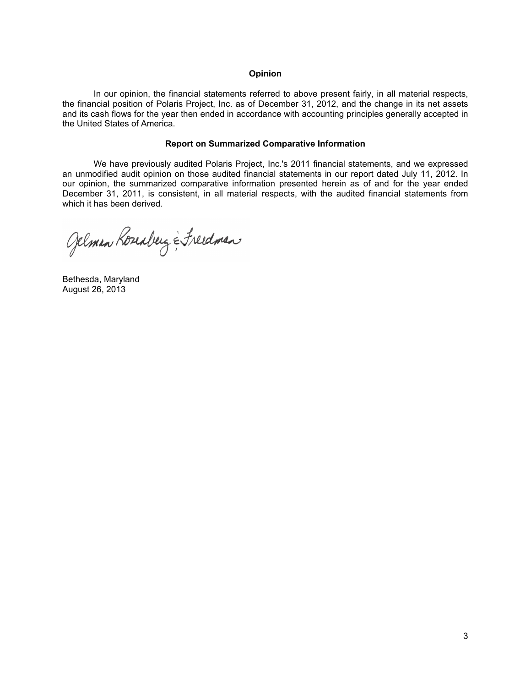#### **Opinion**

In our opinion, the financial statements referred to above present fairly, in all material respects, the financial position of Polaris Project, Inc. as of December 31, 2012, and the change in its net assets and its cash flows for the year then ended in accordance with accounting principles generally accepted in the United States of America.

#### **Report on Summarized Comparative Information**

We have previously audited Polaris Project, Inc.'s 2011 financial statements, and we expressed an unmodified audit opinion on those audited financial statements in our report dated July 11, 2012. In our opinion, the summarized comparative information presented herein as of and for the year ended December 31, 2011, is consistent, in all material respects, with the audited financial statements from which it has been derived.

Gelman Koreaberg & Freedman

Bethesda, Maryland August 26, 2013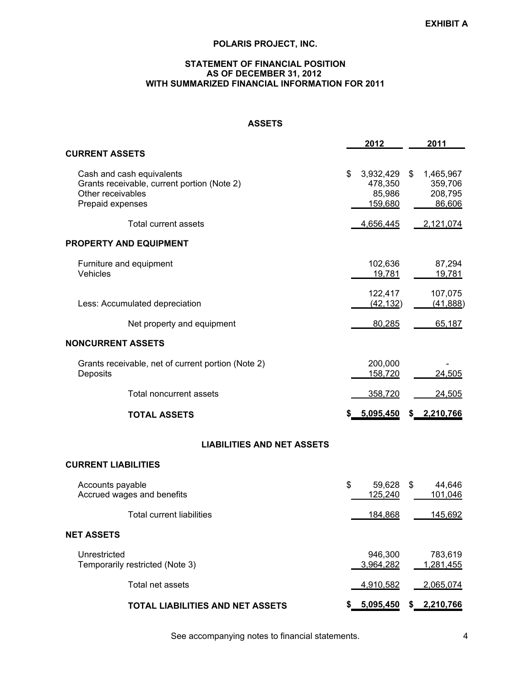# **STATEMENT OF FINANCIAL POSITION AS OF DECEMBER 31, 2012 WITH SUMMARIZED FINANCIAL INFORMATION FOR 2011**

# **ASSETS**

|                                                                                                                   | 2012                                            | 2011                                            |
|-------------------------------------------------------------------------------------------------------------------|-------------------------------------------------|-------------------------------------------------|
| <b>CURRENT ASSETS</b>                                                                                             |                                                 |                                                 |
| Cash and cash equivalents<br>Grants receivable, current portion (Note 2)<br>Other receivables<br>Prepaid expenses | \$<br>3,932,429<br>478,350<br>85,986<br>159,680 | \$<br>1,465,967<br>359,706<br>208,795<br>86,606 |
| Total current assets                                                                                              | 4,656,445                                       | 2,121,074                                       |
| <b>PROPERTY AND EQUIPMENT</b>                                                                                     |                                                 |                                                 |
| Furniture and equipment<br>Vehicles                                                                               | 102,636<br>19,781                               | 87,294<br>19,781                                |
| Less: Accumulated depreciation                                                                                    | 122,417<br>(42, 132)                            | 107,075<br>(41, 888)                            |
| Net property and equipment                                                                                        | 80,285                                          | 65,187                                          |
| <b>NONCURRENT ASSETS</b>                                                                                          |                                                 |                                                 |
| Grants receivable, net of current portion (Note 2)<br>Deposits                                                    | 200,000<br>158,720                              | 24,505                                          |
| <b>Total noncurrent assets</b>                                                                                    | 358,720                                         | 24,505                                          |
| <b>TOTAL ASSETS</b>                                                                                               | \$ 5,095,450                                    | \$ 2,210,766                                    |
| <b>LIABILITIES AND NET ASSETS</b>                                                                                 |                                                 |                                                 |
| <b>CURRENT LIABILITIES</b>                                                                                        |                                                 |                                                 |
| Accounts payable<br>Accrued wages and benefits                                                                    | \$<br>59,628<br>125,240                         | \$<br>44,646<br>101,046                         |
| <b>Total current liabilities</b>                                                                                  | 184,868                                         | 145,692                                         |
| <b>NET ASSETS</b>                                                                                                 |                                                 |                                                 |
| Unrestricted<br>Temporarily restricted (Note 3)                                                                   | 946,300<br>3,964,282                            | 783,619<br>1,281,455                            |
| Total net assets                                                                                                  | <u>4,910,582</u>                                | 2,065,074                                       |
| TOTAL LIABILITIES AND NET ASSETS                                                                                  | \$<br>5,095,450                                 | \$ 2,210,766                                    |

See accompanying notes to financial statements. 4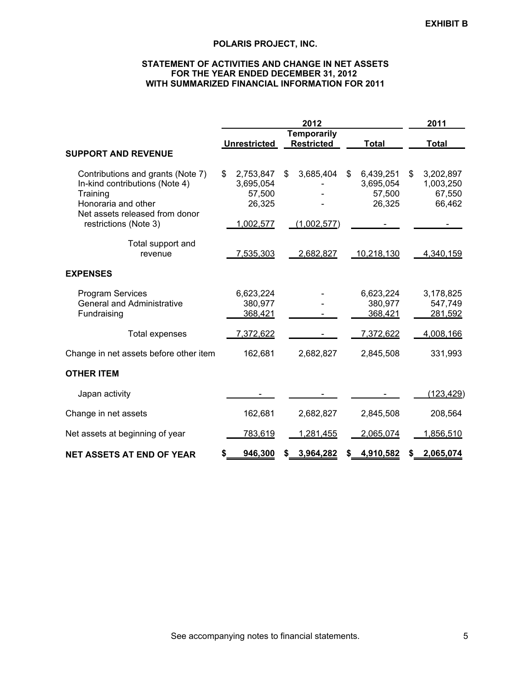# **STATEMENT OF ACTIVITIES AND CHANGE IN NET ASSETS FOR THE YEAR ENDED DECEMBER 31, 2012 WITH SUMMARIZED FINANCIAL INFORMATION FOR 2011**

|                                                                                                                                          |                                                  | 2012                                    |                                                  | 2011                                             |
|------------------------------------------------------------------------------------------------------------------------------------------|--------------------------------------------------|-----------------------------------------|--------------------------------------------------|--------------------------------------------------|
|                                                                                                                                          | <b>Unrestricted</b>                              | <b>Temporarily</b><br><b>Restricted</b> | <b>Total</b>                                     | <b>Total</b>                                     |
| <b>SUPPORT AND REVENUE</b>                                                                                                               |                                                  |                                         |                                                  |                                                  |
| Contributions and grants (Note 7)<br>In-kind contributions (Note 4)<br>Training<br>Honoraria and other<br>Net assets released from donor | 2,753,847<br>\$<br>3,695,054<br>57,500<br>26,325 | 3,685,404<br>\$                         | 6,439,251<br>\$<br>3,695,054<br>57,500<br>26,325 | 3,202,897<br>\$<br>1,003,250<br>67,550<br>66,462 |
| restrictions (Note 3)                                                                                                                    | 1,002,577                                        | (1,002,577)                             |                                                  |                                                  |
| Total support and<br>revenue                                                                                                             | 7,535,303                                        | 2,682,827                               | 10,218,130                                       | 4,340,159                                        |
| <b>EXPENSES</b>                                                                                                                          |                                                  |                                         |                                                  |                                                  |
| <b>Program Services</b><br><b>General and Administrative</b><br>Fundraising                                                              | 6,623,224<br>380,977<br>368,421                  |                                         | 6,623,224<br>380,977<br>368,421                  | 3,178,825<br>547,749<br>281,592                  |
| Total expenses                                                                                                                           | 7,372,622                                        |                                         | 7,372,622                                        | 4,008,166                                        |
| Change in net assets before other item                                                                                                   | 162,681                                          | 2,682,827                               | 2,845,508                                        | 331,993                                          |
| <b>OTHER ITEM</b>                                                                                                                        |                                                  |                                         |                                                  |                                                  |
| Japan activity                                                                                                                           |                                                  |                                         |                                                  | (123, 429)                                       |
| Change in net assets                                                                                                                     | 162,681                                          | 2,682,827                               | 2,845,508                                        | 208,564                                          |
| Net assets at beginning of year                                                                                                          | 783,619                                          | 1,281,455                               | 2,065,074                                        | <u>1,856,510</u>                                 |
| <b>NET ASSETS AT END OF YEAR</b>                                                                                                         | 946,300                                          | 3,964,282<br>S                          | 4,910,582<br>S                                   | 2,065,074<br>S                                   |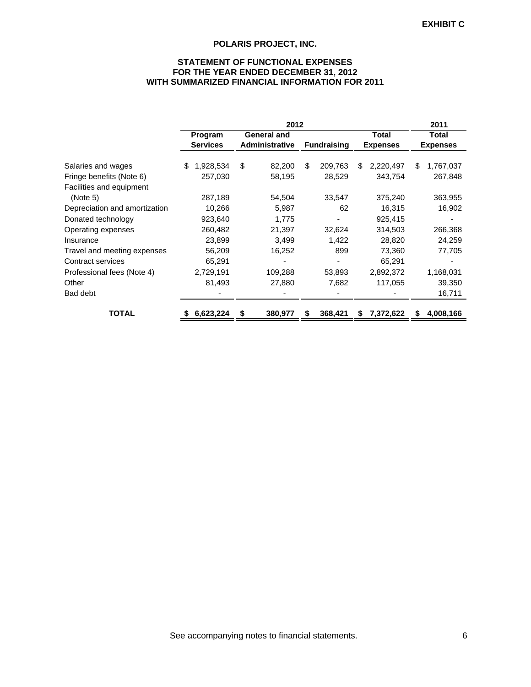# **STATEMENT OF FUNCTIONAL EXPENSES FOR THE YEAR ENDED DECEMBER 31, 2012 WITH SUMMARIZED FINANCIAL INFORMATION FOR 2011**

|                                                | 2012                          |                        |                         |                            | 2011                       |
|------------------------------------------------|-------------------------------|------------------------|-------------------------|----------------------------|----------------------------|
|                                                | Program<br><b>General and</b> |                        |                         | <b>Total</b>               | Total                      |
|                                                | <b>Services</b>               | Administrative         | <b>Fundraising</b>      | <b>Expenses</b>            | <b>Expenses</b>            |
| Salaries and wages<br>Fringe benefits (Note 6) | 1,928,534<br>\$<br>257,030    | \$<br>82,200<br>58,195 | \$<br>209,763<br>28,529 | 2,220,497<br>\$<br>343,754 | \$<br>1,767,037<br>267,848 |
| Facilities and equipment                       |                               |                        |                         |                            |                            |
| (Note 5)                                       | 287,189                       | 54,504                 | 33,547                  | 375,240                    | 363,955                    |
| Depreciation and amortization                  | 10,266                        | 5,987                  | 62                      | 16,315                     | 16,902                     |
| Donated technology                             | 923,640                       | 1.775                  |                         | 925,415                    |                            |
| Operating expenses                             | 260,482                       | 21,397                 | 32,624                  | 314,503                    | 266,368                    |
| Insurance                                      | 23,899                        | 3,499                  | 1,422                   | 28,820                     | 24,259                     |
| Travel and meeting expenses                    | 56,209                        | 16,252                 | 899                     | 73,360                     | 77,705                     |
| Contract services                              | 65,291                        |                        |                         | 65,291                     |                            |
| Professional fees (Note 4)                     | 2,729,191                     | 109,288                | 53,893                  | 2,892,372                  | 1,168,031                  |
| Other                                          | 81,493                        | 27,880                 | 7,682                   | 117,055                    | 39,350                     |
| Bad debt                                       |                               |                        |                         |                            | 16,711                     |
| <b>TOTAL</b>                                   | 6,623,224                     | 380,977                | 368,421<br>S            | 7,372,622<br>S             | 4,008,166<br>S             |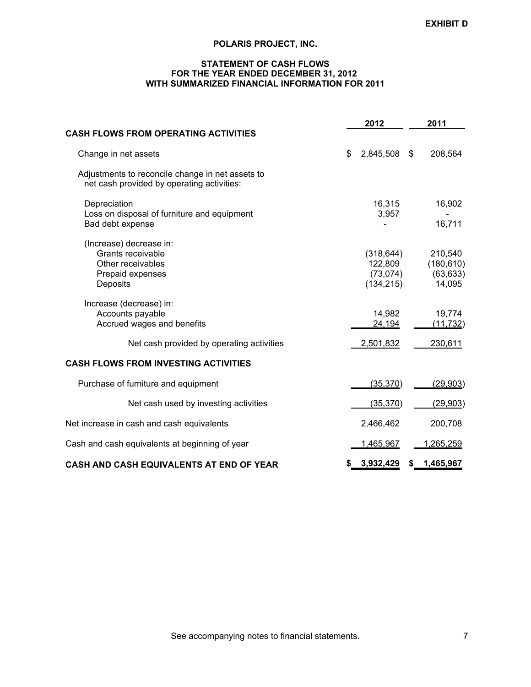# **STATEMENT OF CASH FLOWS FOR THE YEAR ENDED DECEMBER 31, 2012 WITH SUMMARIZED FINANCIAL INFORMATION FOR 2011**

|                                                                                                   |    | 2012                                             | 2011                                         |
|---------------------------------------------------------------------------------------------------|----|--------------------------------------------------|----------------------------------------------|
| <b>CASH FLOWS FROM OPERATING ACTIVITIES</b>                                                       |    |                                                  |                                              |
| Change in net assets                                                                              | \$ | 2,845,508                                        | \$<br>208,564                                |
| Adjustments to reconcile change in net assets to<br>net cash provided by operating activities:    |    |                                                  |                                              |
| Depreciation<br>Loss on disposal of furniture and equipment<br>Bad debt expense                   |    | 16,315<br>3,957                                  | 16,902<br>16,711                             |
| (Increase) decrease in:<br>Grants receivable<br>Other receivables<br>Prepaid expenses<br>Deposits |    | (318, 644)<br>122,809<br>(73, 074)<br>(134, 215) | 210,540<br>(180, 610)<br>(63, 633)<br>14,095 |
| Increase (decrease) in:<br>Accounts payable<br>Accrued wages and benefits                         |    | 14,982<br>24,194                                 | 19,774<br>(11, 732)                          |
| Net cash provided by operating activities                                                         |    | 2,501,832                                        | 230,611                                      |
| <b>CASH FLOWS FROM INVESTING ACTIVITIES</b>                                                       |    |                                                  |                                              |
| Purchase of furniture and equipment                                                               |    | (35, 370)                                        | (29,903)                                     |
| Net cash used by investing activities                                                             |    | (35, 370)                                        | (29, 903)                                    |
| Net increase in cash and cash equivalents                                                         |    | 2,466,462                                        | 200,708                                      |
| Cash and cash equivalents at beginning of year                                                    |    | 1,465,967                                        | 1,265,259                                    |
| <b>CASH AND CASH EQUIVALENTS AT END OF YEAR</b>                                                   | S. | 3,932,429                                        | \$<br>1,465,967                              |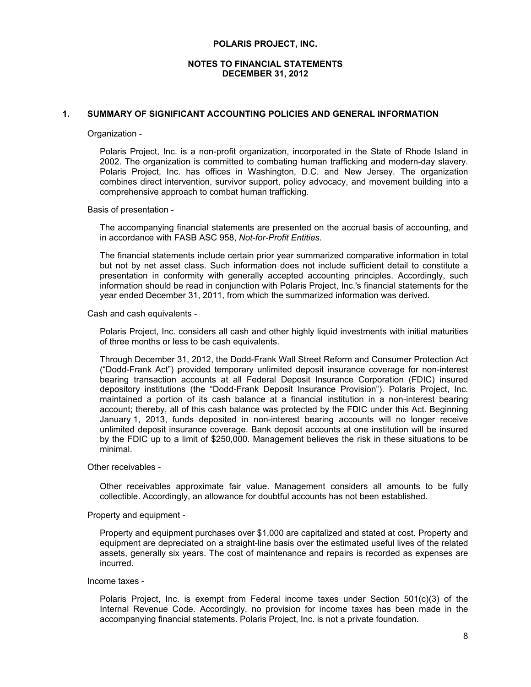#### **NOTES TO FINANCIAL STATEMENTS DECEMBER 31, 2012**

# **1. SUMMARY OF SIGNIFICANT ACCOUNTING POLICIES AND GENERAL INFORMATION**

#### Organization -

Polaris Project, Inc. is a non-profit organization, incorporated in the State of Rhode Island in 2002. The organization is committed to combating human trafficking and modern-day slavery. Polaris Project, Inc. has offices in Washington, D.C. and New Jersey. The organization combines direct intervention, survivor support, policy advocacy, and movement building into a comprehensive approach to combat human trafficking.

Basis of presentation -

The accompanying financial statements are presented on the accrual basis of accounting, and in accordance with FASB ASC 958, *Not-for-Profit Entities*.

The financial statements include certain prior year summarized comparative information in total but not by net asset class. Such information does not include sufficient detail to constitute a presentation in conformity with generally accepted accounting principles. Accordingly, such information should be read in conjunction with Polaris Project, Inc.'s financial statements for the year ended December 31, 2011, from which the summarized information was derived.

#### Cash and cash equivalents -

Polaris Project, Inc. considers all cash and other highly liquid investments with initial maturities of three months or less to be cash equivalents.

Through December 31, 2012, the Dodd-Frank Wall Street Reform and Consumer Protection Act ("Dodd-Frank Act") provided temporary unlimited deposit insurance coverage for non-interest bearing transaction accounts at all Federal Deposit Insurance Corporation (FDIC) insured depository institutions (the "Dodd-Frank Deposit Insurance Provision"). Polaris Project, Inc. maintained a portion of its cash balance at a financial institution in a non-interest bearing account; thereby, all of this cash balance was protected by the FDIC under this Act. Beginning January 1, 2013, funds deposited in non-interest bearing accounts will no longer receive unlimited deposit insurance coverage. Bank deposit accounts at one institution will be insured by the FDIC up to a limit of \$250,000. Management believes the risk in these situations to be minimal.

Other receivables -

Other receivables approximate fair value. Management considers all amounts to be fully collectible. Accordingly, an allowance for doubtful accounts has not been established.

Property and equipment -

Property and equipment purchases over \$1,000 are capitalized and stated at cost. Property and equipment are depreciated on a straight-line basis over the estimated useful lives of the related assets, generally six years. The cost of maintenance and repairs is recorded as expenses are incurred.

Income taxes -

Polaris Project, Inc. is exempt from Federal income taxes under Section  $501(c)(3)$  of the Internal Revenue Code. Accordingly, no provision for income taxes has been made in the accompanying financial statements. Polaris Project, Inc. is not a private foundation.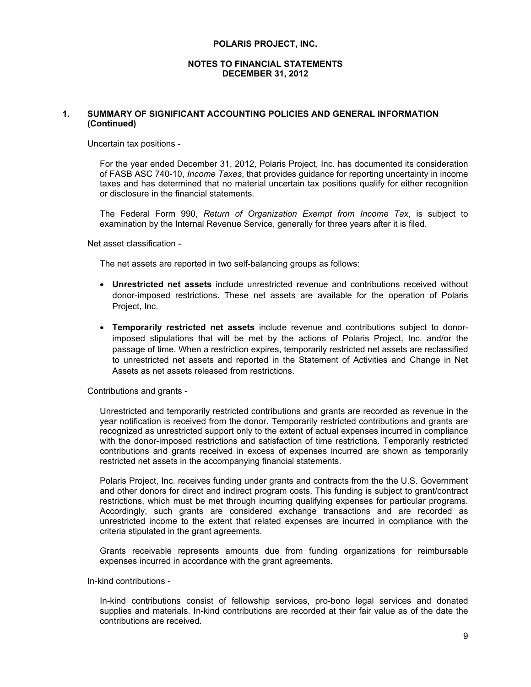#### **NOTES TO FINANCIAL STATEMENTS DECEMBER 31, 2012**

# **1. SUMMARY OF SIGNIFICANT ACCOUNTING POLICIES AND GENERAL INFORMATION (Continued)**

Uncertain tax positions -

For the year ended December 31, 2012, Polaris Project, Inc. has documented its consideration of FASB ASC 740-10, *Income Taxes*, that provides guidance for reporting uncertainty in income taxes and has determined that no material uncertain tax positions qualify for either recognition or disclosure in the financial statements.

The Federal Form 990, *Return of Organization Exempt from Income Tax*, is subject to examination by the Internal Revenue Service, generally for three years after it is filed.

Net asset classification -

The net assets are reported in two self-balancing groups as follows:

- **Unrestricted net assets** include unrestricted revenue and contributions received without donor-imposed restrictions. These net assets are available for the operation of Polaris Project, Inc.
- **Temporarily restricted net assets** include revenue and contributions subject to donorimposed stipulations that will be met by the actions of Polaris Project, Inc. and/or the passage of time. When a restriction expires, temporarily restricted net assets are reclassified to unrestricted net assets and reported in the Statement of Activities and Change in Net Assets as net assets released from restrictions.

Contributions and grants -

Unrestricted and temporarily restricted contributions and grants are recorded as revenue in the year notification is received from the donor. Temporarily restricted contributions and grants are recognized as unrestricted support only to the extent of actual expenses incurred in compliance with the donor-imposed restrictions and satisfaction of time restrictions. Temporarily restricted contributions and grants received in excess of expenses incurred are shown as temporarily restricted net assets in the accompanying financial statements.

Polaris Project, Inc. receives funding under grants and contracts from the the U.S. Government and other donors for direct and indirect program costs. This funding is subject to grant/contract restrictions, which must be met through incurring qualifying expenses for particular programs. Accordingly, such grants are considered exchange transactions and are recorded as unrestricted income to the extent that related expenses are incurred in compliance with the criteria stipulated in the grant agreements.

Grants receivable represents amounts due from funding organizations for reimbursable expenses incurred in accordance with the grant agreements.

In-kind contributions -

In-kind contributions consist of fellowship services, pro-bono legal services and donated supplies and materials. In-kind contributions are recorded at their fair value as of the date the contributions are received.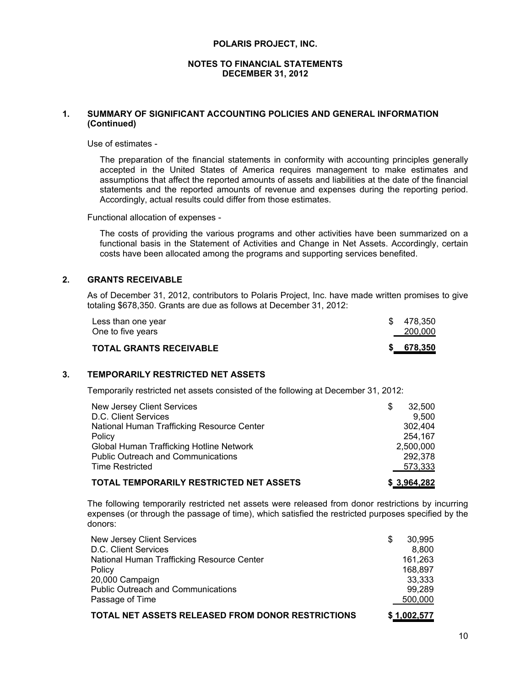#### **NOTES TO FINANCIAL STATEMENTS DECEMBER 31, 2012**

# **1. SUMMARY OF SIGNIFICANT ACCOUNTING POLICIES AND GENERAL INFORMATION (Continued)**

Use of estimates -

The preparation of the financial statements in conformity with accounting principles generally accepted in the United States of America requires management to make estimates and assumptions that affect the reported amounts of assets and liabilities at the date of the financial statements and the reported amounts of revenue and expenses during the reporting period. Accordingly, actual results could differ from those estimates.

Functional allocation of expenses -

The costs of providing the various programs and other activities have been summarized on a functional basis in the Statement of Activities and Change in Net Assets. Accordingly, certain costs have been allocated among the programs and supporting services benefited.

### **2. GRANTS RECEIVABLE**

As of December 31, 2012, contributors to Polaris Project, Inc. have made written promises to give totaling \$678,350. Grants are due as follows at December 31, 2012:

| Less than one year<br>One to five years | \$478,350<br>200,000 |
|-----------------------------------------|----------------------|
| <b>TOTAL GRANTS RECEIVABLE</b>          | 678.350              |

# **3. TEMPORARILY RESTRICTED NET ASSETS**

Temporarily restricted net assets consisted of the following at December 31, 2012:

| New Jersey Client Services                 | S | 32.500      |
|--------------------------------------------|---|-------------|
| D.C. Client Services                       |   | 9.500       |
| National Human Trafficking Resource Center |   | 302,404     |
| Policy                                     |   | 254.167     |
| Global Human Trafficking Hotline Network   |   | 2.500.000   |
| <b>Public Outreach and Communications</b>  |   | 292,378     |
| <b>Time Restricted</b>                     |   | 573,333     |
| TOTAL TEMPORARILY RESTRICTED NET ASSETS    |   | \$3.964.282 |

The following temporarily restricted net assets were released from donor restrictions by incurring expenses (or through the passage of time), which satisfied the restricted purposes specified by the donors:

| New Jersey Client Services                               | S | 30.995      |
|----------------------------------------------------------|---|-------------|
| D.C. Client Services                                     |   | 8.800       |
| National Human Trafficking Resource Center               |   | 161,263     |
| Policy                                                   |   | 168.897     |
| 20,000 Campaign                                          |   | 33,333      |
| <b>Public Outreach and Communications</b>                |   | 99,289      |
| Passage of Time                                          |   | 500,000     |
| <b>TOTAL NET ASSETS RELEASED FROM DONOR RESTRICTIONS</b> |   | \$1,002,577 |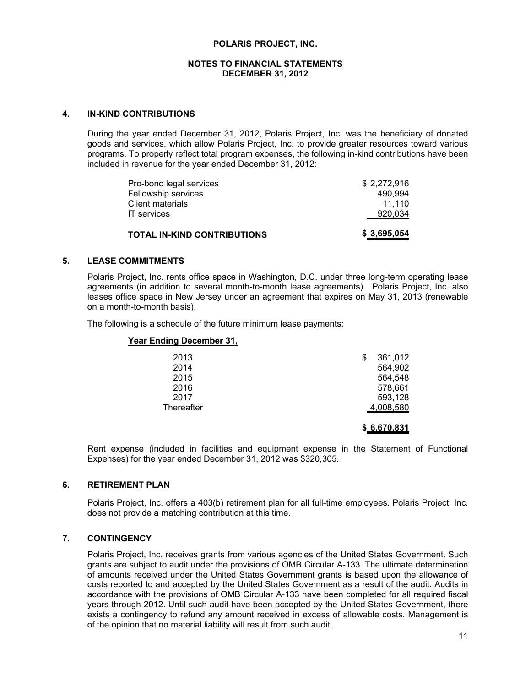#### **NOTES TO FINANCIAL STATEMENTS DECEMBER 31, 2012**

#### **4. IN-KIND CONTRIBUTIONS**

During the year ended December 31, 2012, Polaris Project, Inc. was the beneficiary of donated goods and services, which allow Polaris Project, Inc. to provide greater resources toward various programs. To properly reflect total program expenses, the following in-kind contributions have been included in revenue for the year ended December 31, 2012:

| <b>TOTAL IN-KIND CONTRIBUTIONS</b> | \$3,695,054 |
|------------------------------------|-------------|
| <b>IT</b> services                 | 920.034     |
| Client materials                   | 11.110      |
| Fellowship services                | 490.994     |
| Pro-bono legal services            | \$2,272,916 |

#### **5. LEASE COMMITMENTS**

Polaris Project, Inc. rents office space in Washington, D.C. under three long-term operating lease agreements (in addition to several month-to-month lease agreements). Polaris Project, Inc. also leases office space in New Jersey under an agreement that expires on May 31, 2013 (renewable on a month-to-month basis).

The following is a schedule of the future minimum lease payments:

# **Year Ending December 31,**

|            |   | \$6,670,831 |
|------------|---|-------------|
| Thereafter |   | 4,008,580   |
| 2017       |   | 593,128     |
| 2016       |   | 578,661     |
| 2015       |   | 564,548     |
| 2014       |   | 564,902     |
| 2013       | S | 361,012     |
|            |   |             |

Rent expense (included in facilities and equipment expense in the Statement of Functional Expenses) for the year ended December 31, 2012 was \$320,305.

#### **6. RETIREMENT PLAN**

Polaris Project, Inc. offers a 403(b) retirement plan for all full-time employees. Polaris Project, Inc. does not provide a matching contribution at this time.

### **7. CONTINGENCY**

Polaris Project, Inc. receives grants from various agencies of the United States Government. Such grants are subject to audit under the provisions of OMB Circular A-133. The ultimate determination of amounts received under the United States Government grants is based upon the allowance of costs reported to and accepted by the United States Government as a result of the audit. Audits in accordance with the provisions of OMB Circular A-133 have been completed for all required fiscal years through 2012. Until such audit have been accepted by the United States Government, there exists a contingency to refund any amount received in excess of allowable costs. Management is of the opinion that no material liability will result from such audit.